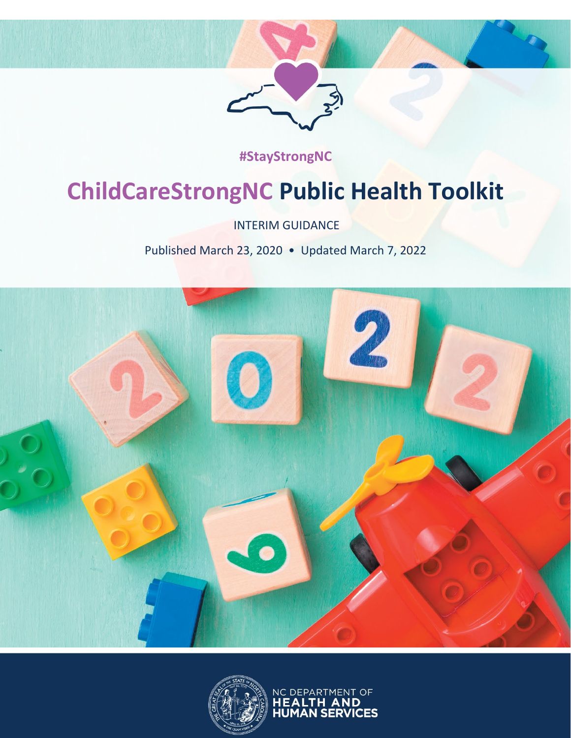

### ChildCareStrongNC Public Health Toolkit • Published March 23, 2020; Updated March 7, 2022 **#StayStrongNC**

# **ChildCareStrongNC Public Health Toolkit**

INTERIM GUIDANCE

Published March 23, 2020 • Updated March 7, 2022



![](_page_0_Picture_6.jpeg)

NC DEPARTMENT OF<br>**HEALTH AND<br>HUMAN SERVICES**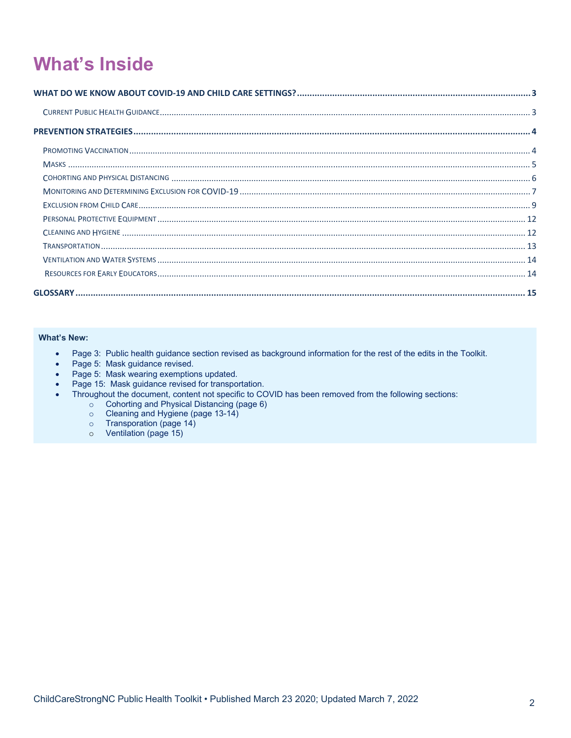# **What's Inside**

#### **What's New:**

- Page 3: Public health guidance section revised as background information for the rest of the edits in the Toolkit.
- 
- Page 5: Mask guidance revised.<br>• Page 5: Mask wearing exemptions updated.
- Page 15: Mask guidance revised for transportation.
- Throughout the document, content not specific to COVID has been removed from the following sections:
	- Sugnod: the document, content not specifie to 50%<br>
	∴<br>
	Cohorting and Hygiene (page 13-14)<br>
	∴<br>
	Cleaning and Hygiene (page 13-14)<br>
	∴<br>
	Contrillation (page 15)
	-
	-
	-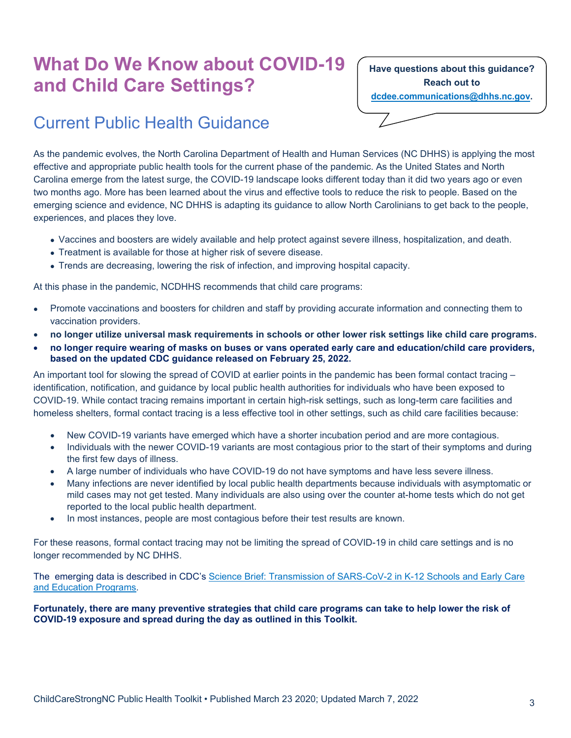# <span id="page-2-0"></span>**What Do We Know about COVID-19 and Child Care Settings?**

**Have questions about this guidance? Reach out to [dcdee.communications@dhhs.nc.gov.](mailto:dcdee.communications@dhhs.nc.gov)**

### <span id="page-2-1"></span>Current Public Health Guidance

As the pandemic evolves, the North Carolina Department of Health and Human Services (NC DHHS) is applying the most effective and appropriate public health tools for the current phase of the pandemic. As the United States and North Carolina emerge from the latest surge, the COVID-19 landscape looks different today than it did two years ago or even two months ago. More has been learned about the virus and effective tools to reduce the risk to people. Based on the emerging science and evidence, NC DHHS is adapting its guidance to allow North Carolinians to get back to the people, experiences, and places they love.

- Vaccines and boosters are widely available and help protect against severe illness, hospitalization, and death.
- Treatment is available for those at higher risk of severe disease.
- Trends are decreasing, lowering the risk of infection, and improving hospital capacity.

At this phase in the pandemic, NCDHHS recommends that child care programs:

- Promote vaccinations and boosters for children and staff by providing accurate information and connecting them to vaccination providers.
- **no longer utilize universal mask requirements in schools or other lower risk settings like child care programs.**
- **no longer require wearing of masks on buses or vans operated early care and education/child care providers, based on the updated CDC guidance released on February 25, 2022.**

An important tool for slowing the spread of COVID at earlier points in the pandemic has been formal contact tracing – identification, notification, and guidance by local public health authorities for individuals who have been exposed to COVID-19. While contact tracing remains important in certain high-risk settings, such as long-term care facilities and homeless shelters, formal contact tracing is a less effective tool in other settings, such as child care facilities because:

- New COVID-19 variants have emerged which have a shorter incubation period and are more contagious.
- Individuals with the newer COVID-19 variants are most contagious prior to the start of their symptoms and during the first few days of illness.
- A large number of individuals who have COVID-19 do not have symptoms and have less severe illness.
- Many infections are never identified by local public health departments because individuals with asymptomatic or mild cases may not get tested. Many individuals are also using over the counter at-home tests which do not get reported to the local public health department.
- In most instances, people are most contagious before their test results are known.

For these reasons, formal contact tracing may not be limiting the spread of COVID-19 in child care settings and is no longer recommended by NC DHHS.

The emerging data is described in CDC's [Science Brief: Transmission of SARS-CoV-2 in K-12 Schools and Early Care](https://www.cdc.gov/coronavirus/2019-ncov/science/science-briefs/transmission_k_12_schools.html)  [and Education Programs.](https://www.cdc.gov/coronavirus/2019-ncov/science/science-briefs/transmission_k_12_schools.html)

<span id="page-2-2"></span>**Fortunately, there are many preventive strategies that child care programs can take to help lower the risk of COVID-19 exposure and spread during the day as outlined in this Toolkit.**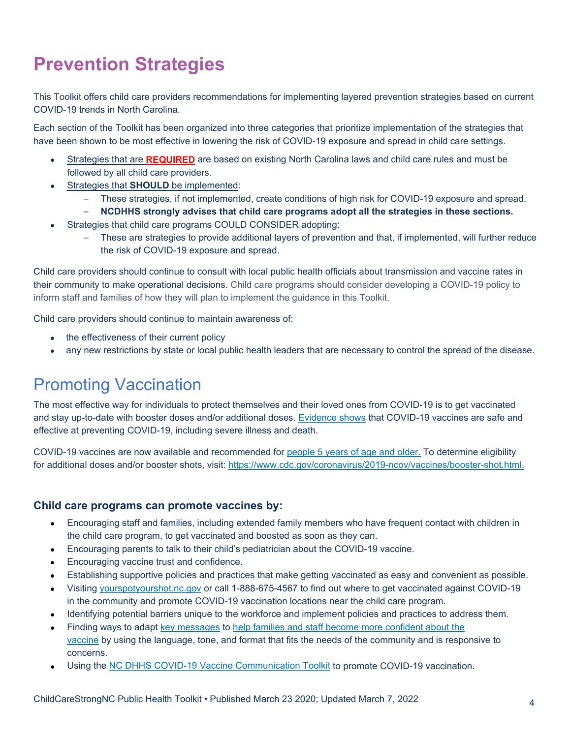# **Prevention Strategies**

This Toolkit offers child care providers recommendations for implementing layered prevention strategies based on current COVID-19 trends in North Carolina.

Each section of the Toolkit has been organized into three categories that prioritize implementation of the strategies that have been shown to be most effective in lowering the risk of COVID-19 exposure and spread in child care settings.

- Strategies that are **REQUIRED** are based on existing North Carolina laws and child care rules and must be followed by all child care providers.
- Strategies that **SHOULD** be implemented:
	- These strategies, if not implemented, create conditions of high risk for COVID-19 exposure and spread.
	- **NCDHHS strongly advises that child care programs adopt all the strategies in these sections.**
- Strategies that child care programs COULD CONSIDER adopting:
	- These are strategies to provide additional layers of prevention and that, if implemented, will further reduce the risk of COVID-19 exposure and spread.

Child care providers should continue to consult with local public health officials about transmission and vaccine rates in their community to make operational decisions. Child care programs should consider developing a COVID-19 policy to inform staff and families of how they will plan to implement the guidance in this Toolkit.

Child care providers should continue to maintain awareness of:

- the effectiveness of their current policy
- any new restrictions by state or local public health leaders that are necessary to control the spread of the disease.

### <span id="page-3-0"></span>Promoting Vaccination

The most effective way for individuals to protect themselves and their loved ones from COVID-19 is to get vaccinated and stay up-to-date with booster doses and/or additional doses. [Evidence shows](https://www.cdc.gov/coronavirus/2019-ncov/vaccines/keythingstoknow.html) that COVID-19 vaccines are safe and effective at preventing COVID-19, including severe illness and death.

COVID-19 vaccines are now available and recommended for [people 5 years of age and older.](https://www.cdc.gov/coronavirus/2019-ncov/vaccines/recommendations/children-teens.html) To determine eligibility for additional doses and/or booster shots, visit: [https://www.cdc.gov/coronavirus/2019-ncov/vaccines/booster-shot.html.](https://www.cdc.gov/coronavirus/2019-ncov/vaccines/booster-shot.html)

#### **Child care programs can promote vaccines by:**

- Encouraging staff and families, including extended family members who have frequent contact with children in the child care program, to get vaccinated and boosted as soon as they can.
- Encouraging parents to talk to their child's pediatrician about the COVID-19 vaccine.
- Encouraging vaccine trust and confidence.
- Establishing supportive policies and practices that make getting vaccinated as easy and convenient as possible.
- Visiting [yourspotyourshot.nc.gov](http://yourspotyourshot.nc.gov/) or call 1-888-675-4567 to find out where to get vaccinated against COVID-19 in the community and promote COVID-19 vaccination locations near the child care program.
- Identifying potential barriers unique to the workforce and implement policies and practices to address them.
- Finding ways to adapt [key messages](https://www.cdc.gov/coronavirus/2019-ncov/vaccines/keythingstoknow.html) to [help families and staff become more confident about the](https://www.cdc.gov/vaccines/covid-19/vaccinate-with-confidence.html)  [vaccine](https://www.cdc.gov/vaccines/covid-19/vaccinate-with-confidence.html) by using the language, tone, and format that fits the needs of the community and is responsive to concerns.
- Using the [NC DHHS COVID-19 Vaccine Communication Toolkit](https://covid19.ncdhhs.gov/vaccines/covid-19-vaccine-communications-toolkit) to promote COVID-19 vaccination.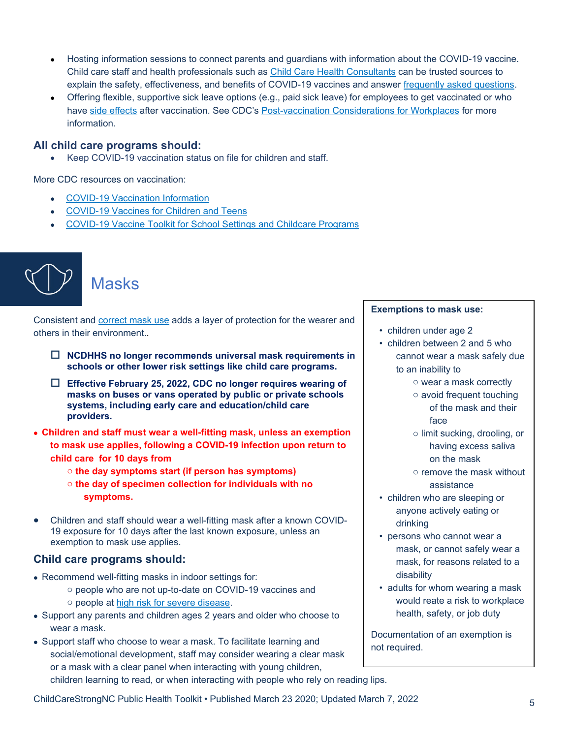- Hosting information sessions to connect parents and guardians with information about the COVID-19 vaccine. Child care staff and health professionals such as [Child Care Health Consultants](https://healthychildcare.unc.edu/find-a-cchc/) can be trusted sources to explain the safety, effectiveness, and benefits of COVID-19 vaccines and answer [frequently asked questions.](https://covid19.ncdhhs.gov/vaccines/frequently-asked-questions-about-covid-19-vaccinations)
- Offering flexible, supportive sick leave options (e.g., paid sick leave) for employees to get vaccinated or who have [side effects](https://www.cdc.gov/coronavirus/2019-ncov/vaccines/expect/after.html) after vaccination. See CDC's [Post-vaccination Considerations for Workplaces](https://www.cdc.gov/coronavirus/2019-ncov/community/workplaces-businesses/vaccination-considerations-for-workplaces.html) for more information.

#### **All child care programs should:**

• Keep COVID-19 vaccination status on file for children and staff.

More CDC resources on vaccination:

- [COVID-19 Vaccination Information](https://www.cdc.gov/coronavirus/2019-ncov/vaccines/index.html)
- [COVID-19 Vaccines for Children and Teens](https://www.cdc.gov/coronavirus/2019-ncov/vaccines/recommendations/children-teens.html)
- [COVID-19 Vaccine Toolkit for School Settings and Childcare Programs](https://www.cdc.gov/coronavirus/2019-ncov/vaccines/toolkits/schools-childcare.html)

![](_page_4_Picture_8.jpeg)

### <span id="page-4-0"></span>**Masks**

Consistent and [correct mask use](https://www.cdc.gov/coronavirus/2019-ncov/prevent-getting-sick/how-to-wear-cloth-face-coverings.html) adds a layer of protection for the wearer and others in their environment..

- **NCDHHS no longer recommends universal mask requirements in schools or other lower risk settings like child care programs.**
- **Effective February 25, 2022, CDC no longer requires wearing of masks on buses or vans operated by public or private schools systems, including early care and education/child care providers.**
- **Children and staff must wear a well-fitting mask, unless an exemption to mask use applies, following a COVID-19 infection upon return to child care for 10 days from**
	- o **the day symptoms start (if person has symptoms)**
	- o **the day of specimen collection for individuals with no symptoms.**
- Children and staff should wear a well-fitting mask after a known COVID-19 exposure for 10 days after the last known exposure, unless an exemption to mask use applies.

#### **Child care programs should:**

- Recommend well-fitting masks in indoor settings for:
	- o people who are not up-to-date on COVID-19 vaccines and o people at [high risk for severe disease.](https://www.cdc.gov/coronavirus/2019-ncov/need-extra-precautions/people-with-medical-conditions.html)
- Support any parents and children ages 2 years and older who choose to wear a mask.
- Support staff who choose to wear a mask. To facilitate learning and social/emotional development, staff may consider wearing a clear mask or a mask with a clear panel when interacting with young children, children learning to read, or when interacting with people who rely on reading lips.

#### **Exemptions to mask use:**

- children under age 2
- children between 2 and 5 who cannot wear a mask safely due to an inability to
	- o wear a mask correctly
	- o avoid frequent touching of the mask and their face
	- o limit sucking, drooling, or having excess saliva on the mask
	- o remove the mask without assistance
- children who are sleeping or anyone actively eating or drinking
- persons who cannot wear a mask, or cannot safely wear a mask, for reasons related to a disability
- adults for whom wearing a mask would reate a risk to workplace health, safety, or job duty

Documentation of an exemption is not required.

ChildCareStrongNC Public Health Toolkit • Published March 23 2020; Updated March 7, 2022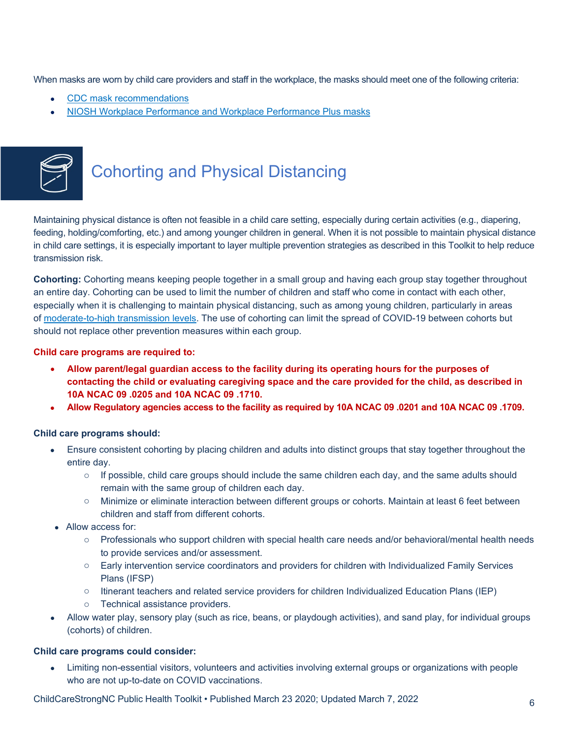When masks are worn by child care providers and staff in the workplace, the masks should meet one of the following criteria:

- [CDC mask recommendations](https://www.cdc.gov/coronavirus/2019-ncov/prevent-getting-sick/masks.html)
- [NIOSH Workplace Performance and Workplace Performance Plus masks](https://www.cdc.gov/niosh/topics/emres/pandemic/)

![](_page_5_Picture_3.jpeg)

## <span id="page-5-0"></span>Cohorting and Physical Distancing

Maintaining physical distance is often not feasible in a child care setting, especially during certain activities (e.g., diapering, feeding, holding/comforting, etc.) and among younger children in general. When it is not possible to maintain physical distance in child care settings, it is especially important to layer multiple prevention strategies as described in this Toolkit to help reduce transmission risk.

**Cohorting:** Cohorting means keeping people together in a small group and having each group stay together throughout an entire day. Cohorting can be used to limit the number of children and staff who come in contact with each other, especially when it is challenging to maintain physical distancing, such as among young children, particularly in areas of [moderate-to-high transmission levels.](https://covid.cdc.gov/covid-data-tracker/#county-view) The use of cohorting can limit the spread of COVID-19 between cohorts but should not replace other prevention measures within each group.

#### **Child care programs are required to:**

- **Allow parent/legal guardian access to the facility during its operating hours for the purposes of contacting the child or evaluating caregiving space and the care provided for the child, as described in 10A NCAC 09 .0205 and 10A NCAC 09 .1710.**
- **Allow Regulatory agencies access to the facility as required by 10A NCAC 09 .0201 and 10A NCAC 09 .1709.**

#### **Child care programs should:**

- Ensure consistent cohorting by placing children and adults into distinct groups that stay together throughout the entire day.
	- $\circ$  If possible, child care groups should include the same children each day, and the same adults should remain with the same group of children each day.
	- o Minimize or eliminate interaction between different groups or cohorts. Maintain at least 6 feet between children and staff from different cohorts.
- Allow access for:
	- Professionals who support children with special health care needs and/or behavioral/mental health needs to provide services and/or assessment.
	- o Early intervention service coordinators and providers for children with Individualized Family Services Plans (IFSP)
	- o Itinerant teachers and related service providers for children Individualized Education Plans (IEP)
	- o Technical assistance providers.
- Allow water play, sensory play (such as rice, beans, or playdough activities), and sand play, for individual groups (cohorts) of children.

#### **Child care programs could consider:**

• Limiting non-essential visitors, volunteers and activities involving external groups or organizations with people who are not up-to-date on COVID vaccinations.

ChildCareStrongNC Public Health Toolkit • Published March 23 2020; Updated March 7, 2022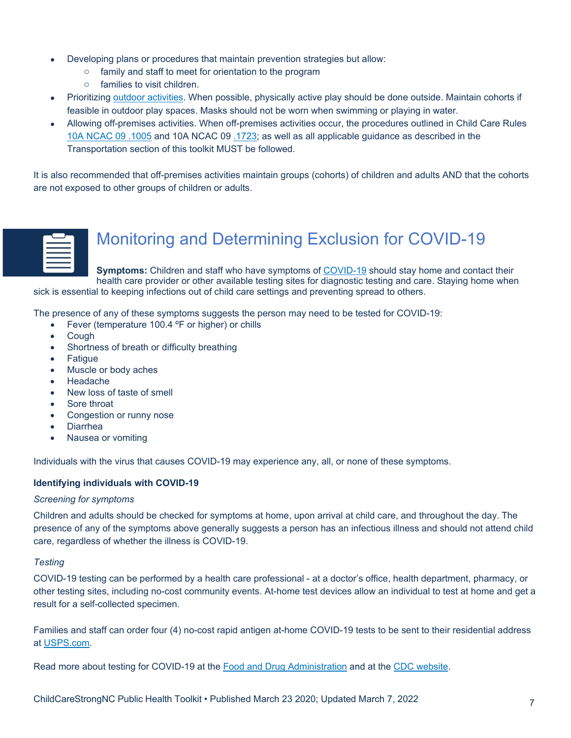- Developing plans or procedures that maintain prevention strategies but allow:
	- o family and staff to meet for orientation to the program
	- o families to visit children.
- Prioritizing [outdoor activities.](https://www.cdc.gov/coronavirus/2019-ncov/daily-life-coping/going-out.html) When possible, physically active play should be done outside. Maintain cohorts if feasible in outdoor play spaces. Masks should not be worn when swimming or playing in water.
- Allowing off-premises activities. When off-premises activities occur, the procedures outlined in Child Care Rules [10A NCAC 09 .1005](http://reports.oah.state.nc.us/ncac/title%2010a%20-%20health%20and%20human%20services/chapter%2009%20-%20child%20care%20rules/10a%20ncac%2009%20.1005.pdf) and [10A NCAC 09 .1723;](http://reports.oah.state.nc.us/ncac/title%2010a%20-%20health%20and%20human%20services/chapter%2009%20-%20child%20care%20rules/10a%20ncac%2009%20.1723.pdf) as well as all applicable guidance as described in the Transportation section of this toolkit MUST be followed.

It is also recommended that off-premises activities maintain groups (cohorts) of children and adults AND that the cohorts are not exposed to other groups of children or adults.

![](_page_6_Figure_6.jpeg)

### <span id="page-6-0"></span>Monitoring and Determining Exclusion for COVID-19

**Symptoms:** Children and staff who have symptoms of [COVID-19](https://www.cdc.gov/coronavirus/2019-ncov/symptoms-testing/symptoms.html) should stay home and contact their health care provider or other available testing sites for diagnostic testing and care. Staying home when sick is essential to keeping infections out of child care settings and preventing spread to others.

The presence of any of these symptoms suggests the person may need to be tested for COVID-19:

- Fever (temperature 100.4 °F or higher) or chills
- Cough
- Shortness of breath or difficulty breathing
- **Fatigue**
- Muscle or body aches
- Headache
- New loss of taste of smell
- Sore throat
- Congestion or runny nose
- Diarrhea
- Nausea or vomiting

Individuals with the virus that causes COVID-19 may experience any, all, or none of these symptoms.

#### **Identifying individuals with COVID-19**

#### *Screening for symptoms*

Children and adults should be checked for symptoms at home, upon arrival at child care, and throughout the day. The presence of any of the symptoms above generally suggests a person has an infectious illness and should not attend child care, regardless of whether the illness is COVID-19.

#### *Testing*

COVID-19 testing can be performed by a health care professional - at a doctor's office, health department, pharmacy, or other [testing sites,](https://covid19.ncdhhs.gov/about-covid-19/testing/find-covid-19-tests) including [no-cost community events.](https://covid19.ncdhhs.gov/about-covid-19/testing/find-my-testing-place/no-cost-community-testing-events) At-home test devices allow an individual to test at home and get a result for a self-collected specimen.

Families and staff can order four (4) no-cost rapid antigen at-home COVID-19 tests to be sent to their residential address at [USPS.com.](https://special.usps.com/testkits)

Read more about testing for COVID-19 at the [Food and Drug Administration](https://www.fda.gov/consumers/consumer-updates/coronavirus-disease-2019-testing-basics) and at the [CDC website.](https://www.cdc.gov/coronavirus/2019-ncov/testing/index.html)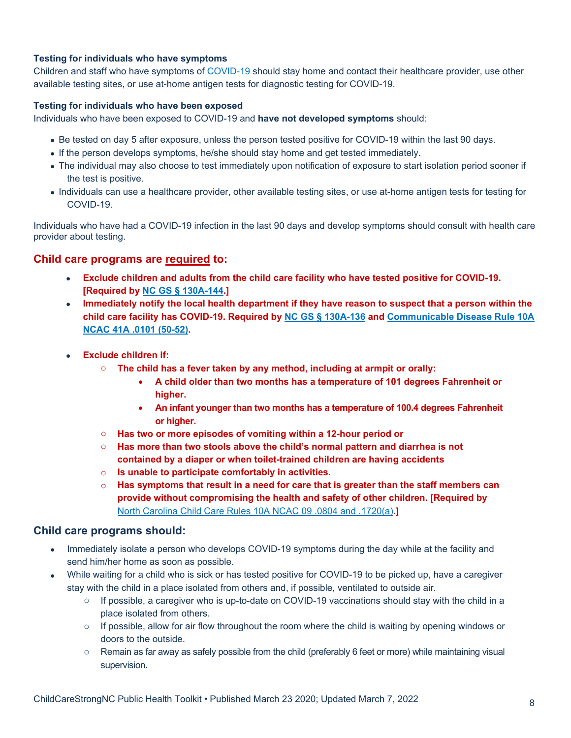#### **Testing for individuals who have symptoms**

Children and staff who have symptoms of [COVID-19](https://www.cdc.gov/coronavirus/2019-ncov/symptoms-testing/symptoms.html) should stay home and contact their healthcare provider, use other available testing sites, or use at-home antigen tests for diagnostic testing for COVID-19.

#### **Testing for individuals who have been exposed**

Individuals who have been exposed to COVID-19 and **have not developed symptoms** should:

- Be tested on day 5 after exposure, unless the person tested positive for COVID-19 within the last 90 days.
- If the person develops symptoms, he/she should stay home and get tested immediately.
- The individual may also choose to test immediately upon notification of exposure to start isolation period sooner if the test is positive.
- Individuals can use a healthcare provider, other available testing sites, or use at-home antigen tests for testing for COVID-19.

Individuals who have had a COVID-19 infection in the last 90 days and develop symptoms should consult with health care provider about testing.

#### **Child care programs are required to:**

- **Exclude children and adults from the child care facility who have tested positive for COVID-19. [Required by [NC GS § 130A-144.](https://www.ncleg.gov/EnactedLegislation/Statutes/HTML/BySection/Chapter_130a/GS_130a-144.html)]**
- **Immediately notify the local health department if they have reason to suspect that a person within the child care facility has COVID-19. Required by [NC GS § 130A-136](https://www.ncleg.net/enactedlegislation/statutes/html/bysection/chapter_130a/gs_130a-136.html) and [Communicable Disease Rule 10A](http://reports.oah.state.nc.us/ncac/title%2010a%20-%20health%20and%20human%20services/chapter%2041%20-%20epidemiology%20health/subchapter%20a/10a%20ncac%2041a%20.0101.html)  [NCAC 41A .0101 \(50-52\).](http://reports.oah.state.nc.us/ncac/title%2010a%20-%20health%20and%20human%20services/chapter%2041%20-%20epidemiology%20health/subchapter%20a/10a%20ncac%2041a%20.0101.html)**
- **Exclude children if:**
	- o **The child has a fever taken by any method, including at armpit or orally:**
		- **A child older than two months has a temperature of 101 degrees Fahrenheit or higher.**
		- **An infant younger than two months has a temperature of 100.4 degrees Fahrenheit or higher.**
	- o **Has two or more episodes of vomiting within a 12-hour period or**
	- o **Has more than two stools above the child's normal pattern and diarrhea is not contained by a diaper or when toilet-trained children are having accidents**
	- o **Is unable to participate comfortably in activities.**
	- o **Has symptoms that result in a need for care that is greater than the staff members can provide without compromising the health and safety of other children. [Required by**  [North Carolina Child Care Rules 10A NCAC 09 .0804 and .1720\(a\)](https://ncchildcare.ncdhhs.gov/Services/Child-Care-Rules-Law-and-Public-Information)**.]**

#### **Child care programs should:**

- Immediately isolate a person who develops COVID-19 symptoms during the day while at the facility and send him/her home as soon as possible.
- While waiting for a child who is sick or has tested positive for COVID-19 to be picked up, have a caregiver stay with the child in a place isolated from others and, if possible, ventilated to outside air.
	- $\circ$  If possible, a caregiver who is up-to-date on COVID-19 vaccinations should stay with the child in a place isolated from others.
	- $\circ$  If possible, allow for air flow throughout the room where the child is waiting by opening windows or doors to the outside.
	- $\circ$  Remain as far away as safely possible from the child (preferably 6 feet or more) while maintaining visual supervision.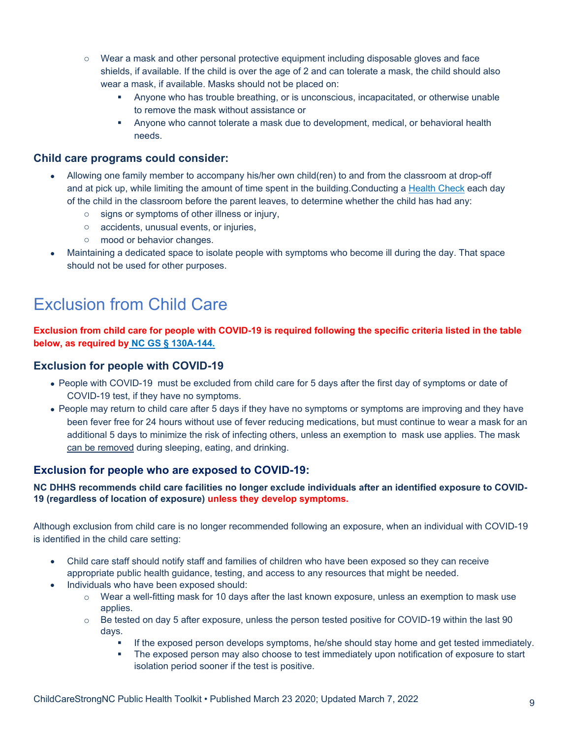- o Wear a mask and other personal protective equipment including disposable gloves and face shields, if available. If the child is over the age of 2 and can tolerate a mask, the child should also wear a mask, if available. Masks should not be placed on:
	- Anyone who has trouble breathing, or is unconscious, incapacitated, or otherwise unable to remove the mask without assistance or
	- Anyone who cannot tolerate a mask due to development, medical, or behavioral health needs.

#### **Child care programs could consider:**

- Allowing one family member to accompany his/her own child(ren) to and from the classroom at drop-off and at pick up, while limiting the amount of time spent in the building.Conducting a [Health Check](https://healthychildcare.unc.edu/resources/fact-sheets/daily-health-check/) each day of the child in the classroom before the parent leaves, to determine whether the child has had any:
	- o signs or symptoms of other illness or injury,
	- o accidents, unusual events, or injuries,
	- o mood or behavior changes.
- Maintaining a dedicated space to isolate people with symptoms who become ill during the day. That space should not be used for other purposes.

### <span id="page-8-0"></span>Exclusion from Child Care

#### **Exclusion from child care for people with COVID-19 is required following the specific criteria listed in the table below, as required by [NC GS § 130A-144.](https://www.ncleg.gov/EnactedLegislation/Statutes/HTML/BySection/Chapter_130a/GS_130a-144.html)**

#### **Exclusion for people with COVID-19**

- People with COVID-19 must be excluded from child care for 5 days after the first day of symptoms or date of COVID-19 test, if they have no symptoms.
- People may return to child care after 5 days if they have no symptoms or symptoms are improving and they have been fever free for 24 hours without use of fever reducing medications, but must continue to wear a mask for an additional 5 days to minimize the risk of infecting others, unless an exemption to mask use applies. The mask can be removed during sleeping, eating, and drinking.

#### **Exclusion for people who are exposed to COVID-19:**

#### **NC DHHS recommends child care facilities no longer exclude individuals after an identified exposure to COVID-19 (regardless of location of exposure) unless they develop symptoms.**

Although exclusion from child care is no longer recommended following an exposure, when an individual with COVID-19 is identified in the child care setting:

- Child care staff should notify staff and families of children who have been exposed so they can receive appropriate public health guidance, testing, and access to any resources that might be needed.
- Individuals who have been exposed should:
	- $\circ$  Wear a well-fitting mask for 10 days after the last known exposure, unless an exemption to mask use applies.
	- $\circ$  Be tested on day 5 after exposure, unless the person tested positive for COVID-19 within the last 90 days.
		- **If the exposed person develops symptoms, he/she should stay home and get tested immediately.**
		- The exposed person may also choose to test immediately upon notification of exposure to start isolation period sooner if the test is positive.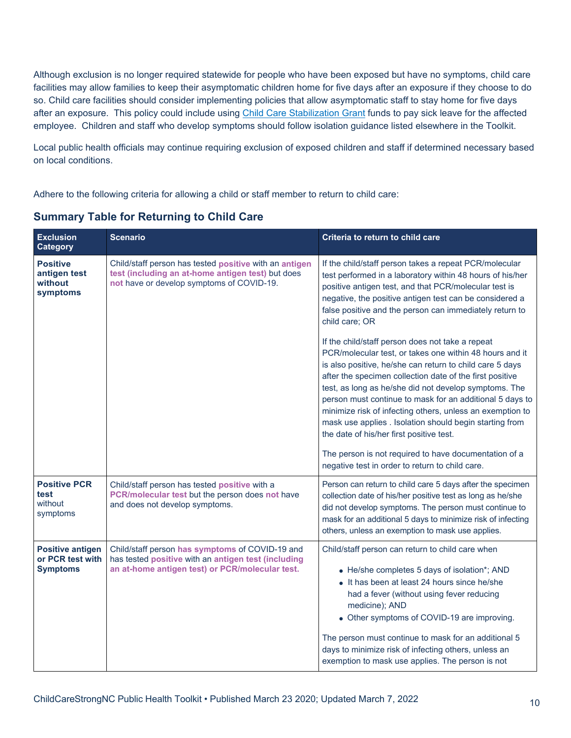Although exclusion is no longer required statewide for people who have been exposed but have no symptoms, child care facilities may allow families to keep their asymptomatic children home for five days after an exposure if they choose to do so. Child care facilities should consider implementing policies that allow asymptomatic staff to stay home for five days after an exposure. This policy could include using [Child Care Stabilization Grant](https://ncchildcare.ncdhhs.gov/Home/Stabilization-Grants) funds to pay sick leave for the affected employee. Children and staff who develop symptoms should follow isolation guidance listed elsewhere in the Toolkit.

Local public health officials may continue requiring exclusion of exposed children and staff if determined necessary based on local conditions.

Adhere to the following criteria for allowing a child or staff member to return to child care:

**Summary Table for Returning to Child Care**

| <b>Exclusion</b><br><b>Category</b>                            | <b>Scenario</b>                                                                                                                                           | Criteria to return to child care                                                                                                                                                                                                                                                                                                                                                                                                                                                                                             |
|----------------------------------------------------------------|-----------------------------------------------------------------------------------------------------------------------------------------------------------|------------------------------------------------------------------------------------------------------------------------------------------------------------------------------------------------------------------------------------------------------------------------------------------------------------------------------------------------------------------------------------------------------------------------------------------------------------------------------------------------------------------------------|
| <b>Positive</b><br>antigen test<br>without<br>symptoms         | Child/staff person has tested positive with an antigen<br>test (including an at-home antigen test) but does<br>not have or develop symptoms of COVID-19.  | If the child/staff person takes a repeat PCR/molecular<br>test performed in a laboratory within 48 hours of his/her<br>positive antigen test, and that PCR/molecular test is<br>negative, the positive antigen test can be considered a<br>false positive and the person can immediately return to<br>child care; OR                                                                                                                                                                                                         |
|                                                                |                                                                                                                                                           | If the child/staff person does not take a repeat<br>PCR/molecular test, or takes one within 48 hours and it<br>is also positive, he/she can return to child care 5 days<br>after the specimen collection date of the first positive<br>test, as long as he/she did not develop symptoms. The<br>person must continue to mask for an additional 5 days to<br>minimize risk of infecting others, unless an exemption to<br>mask use applies . Isolation should begin starting from<br>the date of his/her first positive test. |
|                                                                |                                                                                                                                                           | The person is not required to have documentation of a<br>negative test in order to return to child care.                                                                                                                                                                                                                                                                                                                                                                                                                     |
| <b>Positive PCR</b><br>test<br>without<br>symptoms             | Child/staff person has tested positive with a<br>PCR/molecular test but the person does not have<br>and does not develop symptoms.                        | Person can return to child care 5 days after the specimen<br>collection date of his/her positive test as long as he/she<br>did not develop symptoms. The person must continue to<br>mask for an additional 5 days to minimize risk of infecting<br>others, unless an exemption to mask use applies.                                                                                                                                                                                                                          |
| <b>Positive antigen</b><br>or PCR test with<br><b>Symptoms</b> | Child/staff person has symptoms of COVID-19 and<br>has tested positive with an antigen test (including<br>an at-home antigen test) or PCR/molecular test. | Child/staff person can return to child care when<br>• He/she completes 5 days of isolation*; AND<br>• It has been at least 24 hours since he/she<br>had a fever (without using fever reducing<br>medicine); AND<br>• Other symptoms of COVID-19 are improving.<br>The person must continue to mask for an additional 5<br>days to minimize risk of infecting others, unless an<br>exemption to mask use applies. The person is not                                                                                           |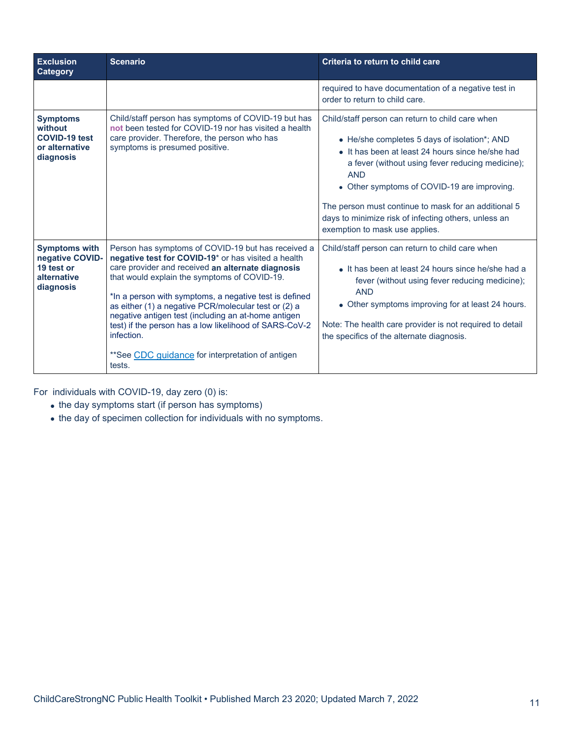| <b>Exclusion</b><br>Category                                                      | <b>Scenario</b>                                                                                                                                                                                                                                                                                                                                                                                                                                                                                                               | Criteria to return to child care                                                                                                                                                                                                                                                                                                                                                                                        |
|-----------------------------------------------------------------------------------|-------------------------------------------------------------------------------------------------------------------------------------------------------------------------------------------------------------------------------------------------------------------------------------------------------------------------------------------------------------------------------------------------------------------------------------------------------------------------------------------------------------------------------|-------------------------------------------------------------------------------------------------------------------------------------------------------------------------------------------------------------------------------------------------------------------------------------------------------------------------------------------------------------------------------------------------------------------------|
|                                                                                   |                                                                                                                                                                                                                                                                                                                                                                                                                                                                                                                               | required to have documentation of a negative test in<br>order to return to child care.                                                                                                                                                                                                                                                                                                                                  |
| <b>Symptoms</b><br>without<br><b>COVID-19 test</b><br>or alternative<br>diagnosis | Child/staff person has symptoms of COVID-19 but has<br>not been tested for COVID-19 nor has visited a health<br>care provider. Therefore, the person who has<br>symptoms is presumed positive.                                                                                                                                                                                                                                                                                                                                | Child/staff person can return to child care when<br>• He/she completes 5 days of isolation*; AND<br>• It has been at least 24 hours since he/she had<br>a fever (without using fever reducing medicine);<br><b>AND</b><br>• Other symptoms of COVID-19 are improving.<br>The person must continue to mask for an additional 5<br>days to minimize risk of infecting others, unless an<br>exemption to mask use applies. |
| <b>Symptoms with</b><br>negative COVID-<br>19 test or<br>alternative<br>diagnosis | Person has symptoms of COVID-19 but has received a<br>negative test for COVID-19* or has visited a health<br>care provider and received an alternate diagnosis<br>that would explain the symptoms of COVID-19.<br>*In a person with symptoms, a negative test is defined<br>as either (1) a negative PCR/molecular test or (2) a<br>negative antigen test (including an at-home antigen<br>test) if the person has a low likelihood of SARS-CoV-2<br>infection.<br>**See CDC quidance for interpretation of antigen<br>tests. | Child/staff person can return to child care when<br>• It has been at least 24 hours since he/she had a<br>fever (without using fever reducing medicine);<br><b>AND</b><br>• Other symptoms improving for at least 24 hours.<br>Note: The health care provider is not required to detail<br>the specifics of the alternate diagnosis.                                                                                    |

For individuals with COVID-19, day zero (0) is:

- the day symptoms start (if person has symptoms)
- the day of specimen collection for individuals with no symptoms.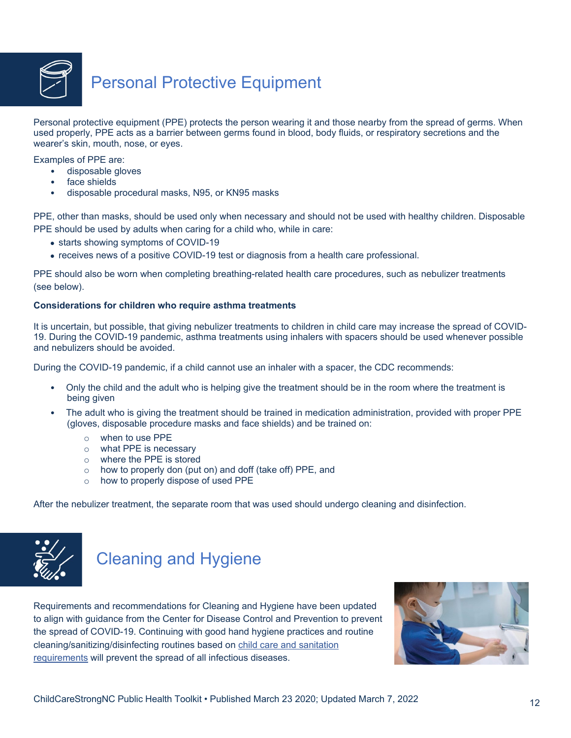![](_page_11_Picture_0.jpeg)

### <span id="page-11-0"></span>Personal Protective Equipment

Personal protective equipment (PPE) protects the person wearing it and those nearby from the spread of germs. When used properly, PPE acts as a barrier between germs found in blood, body fluids, or respiratory secretions and the wearer's skin, mouth, nose, or eyes.

Examples of PPE are:

- disposable gloves
- face shields
- disposable procedural masks, N95, or KN95 masks

PPE, other than masks, should be used only when necessary and should not be used with healthy children. Disposable PPE should be used by adults when caring for a child who, while in care:

- starts showing symptoms of COVID-19
- receives news of a positive COVID-19 test or diagnosis from a health care professional.

PPE should also be worn when completing breathing-related health care procedures, such as nebulizer treatments (see below).

#### **Considerations for children who require asthma treatments**

It is uncertain, but possible, that giving nebulizer treatments to children in child care may increase the spread of COVID-19. During the COVID-19 pandemic, asthma treatments using inhalers with spacers should be used whenever possible and nebulizers should be avoided.

During the COVID-19 pandemic, if a child cannot use an inhaler with a spacer, the CDC recommends:

- Only the child and the adult who is helping give the treatment should be in the room where the treatment is being given
- The adult who is giving the treatment should be trained in medication administration, provided with proper PPE (gloves, disposable procedure masks and face shields) and be trained on:
	- o when to use PPE
	- o what PPE is necessary
	- o where the PPE is stored
	- $\circ$  how to properly don (put on) and doff (take off) PPE, and
	- o how to properly dispose of used PPE

After the nebulizer treatment, the separate room that was used should undergo cleaning and disinfection.

<span id="page-11-1"></span>![](_page_11_Picture_22.jpeg)

### Cleaning and Hygiene

Requirements and recommendations for Cleaning and Hygiene have been updated to align with guidance from the Center for Disease Control and Prevention to prevent the spread of COVID-19. Continuing with good hand hygiene practices and routine cleaning/sanitizing/disinfecting routines based on [child care and sanitation](https://ncchildcare.ncdhhs.gov/Services/Child-Care-Rules-Law-and-Public-Information)  [requirements](https://ncchildcare.ncdhhs.gov/Services/Child-Care-Rules-Law-and-Public-Information) will prevent the spread of all infectious diseases.

![](_page_11_Picture_25.jpeg)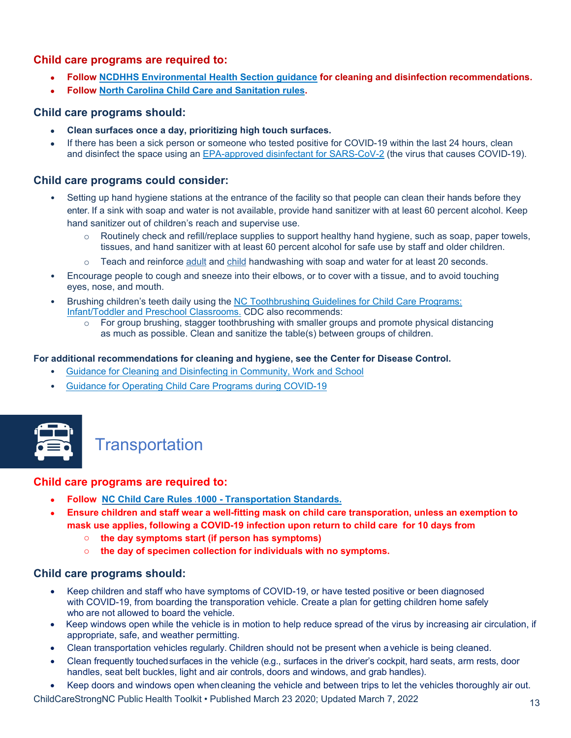#### **Child care programs are required to:**

- **Follow [NCDHHS Environmental Health](https://ehs.ncpublichealth.com/docs/covid19/ChildCareandSchoolGuidance-COVID-19-03202020.pdf) [Section guidance](https://ehs.ncpublichealth.com/docs/covid19/ChildCareandSchoolGuidance-COVID-19-03202020.pdf) for cleaning and disinfection recommendations.**
- **Follow [North Carolina Child Care and Sanitation rules.](https://ncchildcare.ncdhhs.gov/Services/Child-Care-Rules-Law-and-Public-Information)**

#### **Child care programs should:**

- **Clean surfaces once a day, prioritizing high touch surfaces.**
- If there has been a sick person or someone who tested positive for COVID-19 within the last 24 hours, clean and disinfect the space using an [EPA-approved disinfectant for SARS-CoV-2](https://www.epa.gov/coronavirus/about-list-n-disinfectants-coronavirus-covid-19-0) (the virus that causes COVID-19).

#### **Child care programs could consider:**

- Setting up hand hygiene stations at the entrance of the facility so that people can clean their hands before they enter. If a sink with soap and water is not available, provide hand sanitizer with at least 60 percent alcohol. Keep hand sanitizer out of children's reach and supervise use.
	- $\circ$  Routinely check and refill/replace supplies to support healthy hand hygiene, such as soap, paper towels, tissues, and hand sanitizer with at least 60 percent alcohol for safe use by staff and older children.
	- o Teach and reinforce [adult](https://healthychildcare.unc.edu/files/2019/03/CC-HAND-ADULT-2019-English-and-Spanish.pdf) and [child](http://healthychildcare.unc.edu/files/2018/09/Child-Handwashing-Poster-Eng-Sp.pdf) handwashing with soap and water for at least 20 seconds.
- Encourage people to cough and sneeze into their elbows, or to cover with a tissue, and to avoid touching eyes, nose, and mouth.
- Brushing children's teeth daily using the [NC Toothbrushing Guidelines for Child Care Programs:](https://toothtalk.org/guidelines/) [Infant/Toddler and Preschool Classrooms.](https://toothtalk.org/guidelines/) CDC also recommends:
	- $\circ$  For group brushing, stagger toothbrushing with smaller groups and promote physical distancing as much as possible. Clean and sanitize the table(s) between groups of children.

#### **For additional recommendations for cleaning and hygiene, see the Center for Disease Control.**

- [Guidance for Cleaning and Disinfecting in Community, Work and School](https://www.cdc.gov/coronavirus/2019-ncov/community/)
- [Guidance for Operating Child Care Programs during COVID-19](https://www.cdc.gov/coronavirus/2019-ncov/community/schools-childcare/child-care-guidance.html#cleaning-disinfecting)

![](_page_12_Picture_16.jpeg)

### <span id="page-12-0"></span>**Transportation**

#### **Child care programs are required to:**

- **Follow [NC Child Care Rules .1000 -](https://ncchildcare.ncdhhs.gov/Portals/0/documents/pdf/D/DCDEE_Rulebook.pdf) [Transportation Standards.](https://ncchildcare.ncdhhs.gov/Portals/0/documents/pdf/D/DCDEE_Rulebook.pdf)**
- **Ensure children and staff wear a well-fitting mask on child care transporation, unless an exemption to mask use applies, following a COVID-19 infection upon return to child care for 10 days from**
	- o **the day symptoms start (if person has symptoms)**
	- o **the day of specimen collection for individuals with no symptoms.**

#### **Child care programs should:**

- Keep children and staff who have symptoms of COVID-19, or have tested positive or been diagnosed with COVID-19, from boarding the transporation vehicle. Create a plan for getting children home safely who are not allowed to board the vehicle.
- Keep windows open while the vehicle is in motion to help reduce spread of the virus by increasing air circulation, if appropriate, safe, and weather permitting.
- Clean transportation vehicles regularly. Children should not be present when a vehicle is being cleaned.
- Clean frequently touchedsurfaces in the vehicle (e.g., surfaces in the driver's cockpit, hard seats, arm rests, door handles, seat belt buckles, light and air controls, doors and windows, and grab handles).
- Keep doors and windows open whencleaning the vehicle and between trips to let the vehicles thoroughly air out.

ChildCareStrongNC Public Health Toolkit • Published March 23 2020; Updated March 7, 2022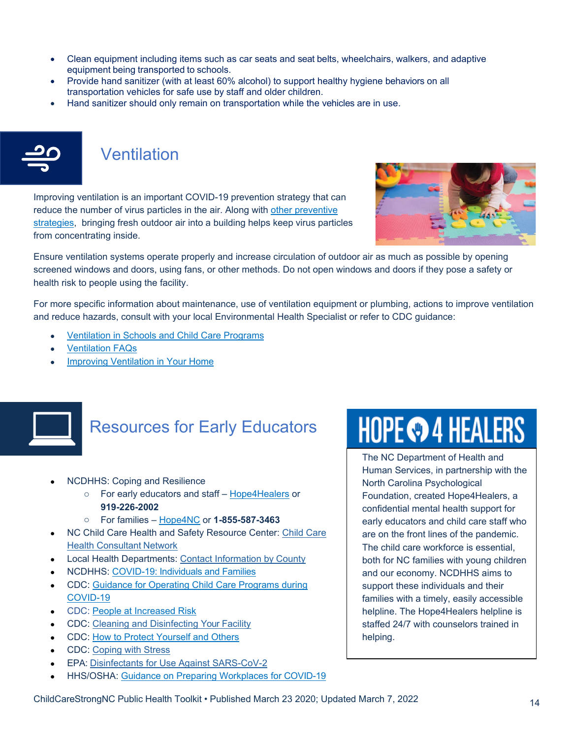- Clean equipment including items such as car seats and seat belts, wheelchairs, walkers, and adaptive equipment being transported to schools.
- Provide hand sanitizer (with at least 60% alcohol) to support healthy hygiene behaviors on all transportation vehicles for safe use by staff and older children.
- Hand sanitizer should only remain on transportation while the vehicles are in use.

<span id="page-13-0"></span>![](_page_13_Picture_3.jpeg)

### Ventilation

Improving ventilation is an important COVID-19 prevention strategy that can reduce the number of virus particles in the air. Along with other preventive [strategies,](https://www.cdc.gov/coronavirus/2019-ncov/prevent-getting-sick/prevention.html) bringing fresh outdoor air into a building helps keep virus particles from concentrating inside.

![](_page_13_Picture_6.jpeg)

Ensure ventilation systems operate properly and increase circulation of outdoor air as much as possible by opening screened windows and doors, using fans, or other methods. Do not open windows and doors if they pose a safety or health risk to people using the facility.

For more specific information about maintenance, use of ventilation equipment or plumbing, actions to improve ventilation and reduce hazards, consult with your local Environmental Health Specialist or refer to CDC guidance:

- [Ventilation in Schools and Child Care Programs](https://www.cdc.gov/coronavirus/2019-ncov/community/schools-childcare/ventilation.html)
- **[Ventilation FAQs](https://www.cdc.gov/coronavirus/2019-ncov/community/ventilation.html#Ventilation-FAQs)**
- [Improving Ventilation in Your Home](https://www.cdc.gov/coronavirus/2019-ncov/prevent-getting-sick/Improving-Ventilation-Home.html)

![](_page_13_Picture_12.jpeg)

### <span id="page-13-1"></span>Resources for Early Educators

- NCDHHS: Coping and Resilience
	- o For early educators and staff [Hope4Healers](https://www.ncdhhs.gov/divisions/mental-health-developmental-disabilities-and-substance-abuse/hope4nc/hope4healers-helpline) or **919-226-2002**
	- o For families [Hope4NC](https://www.ncdhhs.gov/divisions/mental-health-developmental-disabilities-and-substance-abuse/hope4nc/hope4nc-helpline) or **1-855-587-3463**
- NC [Child Care](https://healthychildcare.unc.edu/find-a-cchc/) Health and Safety Resource Center: Child Care [Health Consultant](https://healthychildcare.unc.edu/find-a-cchc/) Network
- Local Health Departments: [Contact Information by](https://www.ncalhd.org/directors/) County
- NCDHHS: [COVID-19: Individuals and Families](https://covid19.ncdhhs.gov/information/individuals-families-and-communities/individuals-and-families)
- CDC: [Guidance for Operating Child Care Programs during](https://www.cdc.gov/coronavirus/2019-ncov/community/schools-childcare/child-care-guidance.html#cleaning-disinfecting)  [COVID-19](https://www.cdc.gov/coronavirus/2019-ncov/community/schools-childcare/child-care-guidance.html#cleaning-disinfecting)
- CDC: [People at Increased Risk](https://www.cdc.gov/coronavirus/2019-ncov/need-extra-precautions/index.html)
- CDC: [Cleaning and Disinfecting Your](https://www.cdc.gov/coronavirus/2019-ncov/community/disinfecting-building-facility.html) Facility
- CDC: [How to Protect Yourself and Others](https://www.cdc.gov/coronavirus/2019-ncov/prevent-getting-sick/prevention.html)
- CDC: [Coping with](https://www.cdc.gov/coronavirus/2019-ncov/daily-life-coping/managing-stress-anxiety.html) Stress
- EPA: [Disinfectants for Use Against](https://www.epa.gov/pesticide-registration/list-n-disinfectants-use-against-sars-cov-2) SARS-CoV-2
- HHS/OSHA: [Guidance on Preparing Workplaces for](https://www.osha.gov/sites/default/files/publications/OSHA3990.pdf) COVID-19

# **HOPE © 4 HEALERS**

The NC Department of Health and Human Services, in partnership with the North Carolina Psychological Foundation, created Hope4Healers, a confidential mental health support for early educators and child care staff who are on the front lines of the pandemic. The child care workforce is essential, both for NC families with young children and our economy. NCDHHS aims to support these individuals and their families with a timely, easily accessible helpline. The Hope4Healers helpline is staffed 24/7 with counselors trained in helping.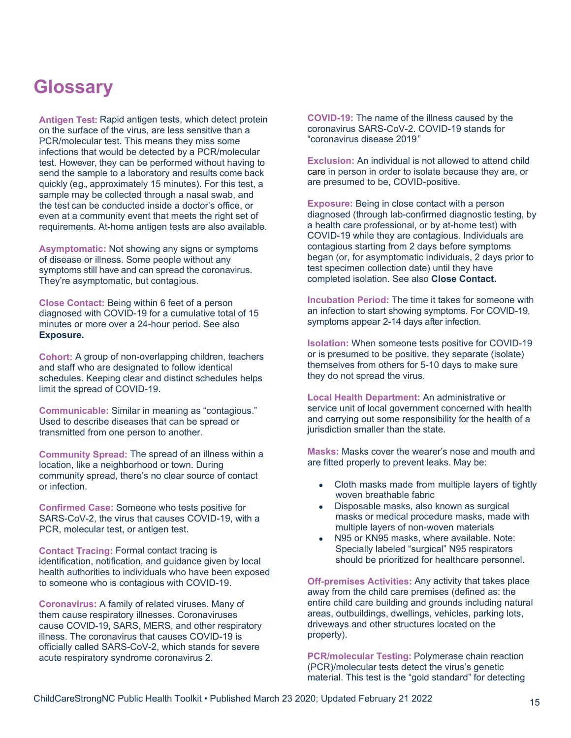### <span id="page-14-0"></span>**Glossary**

**Antigen Test:** Rapid antigen tests, which detect protein on the surface of the virus, are less sensitive than a PCR/molecular test. This means they miss some infections that would be detected by a PCR/molecular test. However, they can be performed without having to send the sample to a laboratory and results come back quickly (e.g., approximately 15 minutes). For this test, a sample may be collected through a nasal swab, and the test can be conducted inside a doctor's office, or even at a community event that meets the right set of requirements. At-home antigen tests are also available.

**Asymptomatic:** Not showing any signs or symptoms of disease or illness. Some people without any symptoms still have and can spread the coronavirus. They're asymptomatic, but contagious.

**Close Contact:** Being within 6 feet of a person diagnosed with COVID-19 for a cumulative total of 15 minutes or more over a 24-hour period. See also **Exposure.**

**Cohort:** A group of non-overlapping children, teachers and staff who are designated to follow identical schedules. Keeping clear and distinct schedules helps limit the spread of COVID-19.

**Communicable:** Similar in meaning as "contagious." Used to describe diseases that can be spread or transmitted from one person to another.

**Community Spread:** The spread of an illness within a location, like a neighborhood or town. During community spread, there's no clear source of contact or infection.

**Confirmed Case:** Someone who tests positive for SARS-CoV-2, the virus that causes COVID-19, with a PCR, molecular test, or antigen test.

**Contact Tracing:** Formal contact tracing is identification, notification, and guidance given by local health authorities to individuals who have been exposed to someone who is contagious with COVID-19.

**Coronavirus:** A family of related viruses. Many of them cause respiratory illnesses. Coronaviruses cause COVID-19, SARS, MERS, and other respiratory illness. The coronavirus that causes COVID-19 is officially called SARS-CoV-2, which stands for severe acute respiratory syndrome coronavirus 2.

**COVID-19:** The name of the illness caused by the coronavirus SARS-CoV-2. COVID-19 stands for "coronavirus disease 2019."

**Exclusion:** An individual is not allowed to attend child care in person in order to isolate because they are, or are presumed to be, COVID-positive.

**Exposure:** Being in close contact with a person diagnosed (through lab-confirmed diagnostic testing, by a health care professional, or by at-home test) with COVID-19 while they are contagious. Individuals are contagious starting from 2 days before symptoms began (or, for asymptomatic individuals, 2 days prior to test specimen collection date) until they have completed isolation. See also **Close Contact.**

**Incubation Period:** The time it takes for someone with an infection to start showing symptoms. For COVID-19, symptoms appear 2-14 days after infection.

**Isolation:** When someone tests positive for COVID-19 or is presumed to be positive, they separate (isolate) themselves from others for 5-10 days to make sure they do not spread the virus.

**Local Health Department:** An administrative or service unit of local government concerned with health and carrying out some responsibility for the health of a jurisdiction smaller than the state.

**Masks:** Masks cover the wearer's nose and mouth and are fitted properly to prevent leaks. May be:

- Cloth masks made from multiple layers of tightly woven breathable fabric
- Disposable masks, also known as surgical masks or medical procedure masks, made with multiple layers of non-woven materials
- N95 or KN95 masks, where available. Note: Specially labeled "surgical" N95 respirators should be prioritized for healthcare personnel.

**Off-premises Activities:** Any activity that takes place away from the child care premises (defined as: the entire child care building and grounds including natural areas, outbuildings, dwellings, vehicles, parking lots, driveways and other structures located on the property).

**PCR/molecular Testing:** Polymerase chain reaction (PCR)/molecular tests detect the virus's genetic material. This test is the "gold standard" for detecting